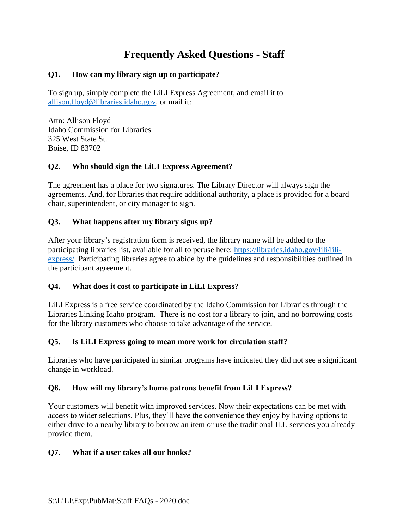# **Frequently Asked Questions - Staff**

## **Q1. How can my library sign up to participate?**

To sign up, simply complete the LiLI Express Agreement, and email it to [allison.floyd@libraries.idaho.gov,](mailto:allison.floyd@libraries.idaho.gov) or mail it:

Attn: Allison Floyd Idaho Commission for Libraries 325 West State St. Boise, ID 83702

## **Q2. Who should sign the LiLI Express Agreement?**

The agreement has a place for two signatures. The Library Director will always sign the agreements. And, for libraries that require additional authority, a place is provided for a board chair, superintendent, or city manager to sign.

## **Q3. What happens after my library signs up?**

After your library's registration form is received, the library name will be added to the participating libraries list, available for all to peruse here: [https://libraries.idaho.gov/lili/lili](https://libraries.idaho.gov/lili/lili-express/)[express/.](https://libraries.idaho.gov/lili/lili-express/) Participating libraries agree to abide by the guidelines and responsibilities outlined in the participant agreement.

## **Q4. What does it cost to participate in LiLI Express?**

LiLI Express is a free service coordinated by the Idaho Commission for Libraries through the Libraries Linking Idaho program. There is no cost for a library to join, and no borrowing costs for the library customers who choose to take advantage of the service.

## **Q5. Is LiLI Express going to mean more work for circulation staff?**

Libraries who have participated in similar programs have indicated they did not see a significant change in workload.

## **Q6. How will my library's home patrons benefit from LiLI Express?**

Your customers will benefit with improved services. Now their expectations can be met with access to wider selections. Plus, they'll have the convenience they enjoy by having options to either drive to a nearby library to borrow an item or use the traditional ILL services you already provide them.

#### **Q7. What if a user takes all our books?**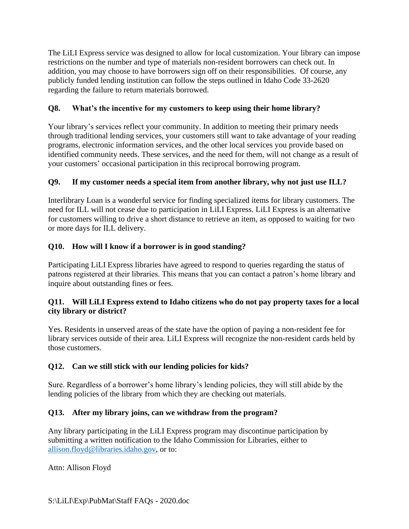The LiLI Express service was designed to allow for local customization. Your library can impose restrictions on the number and type of materials non-resident borrowers can check out. In addition, you may choose to have borrowers sign off on their responsibilities. Of course, any publicly funded lending institution can follow the steps outlined in Idaho Code 33-2620 regarding the failure to return materials borrowed.

## **Q8. What's the incentive for my customers to keep using their home library?**

Your library's services reflect your community. In addition to meeting their primary needs through traditional lending services, your customers still want to take advantage of your reading programs, electronic information services, and the other local services you provide based on identified community needs. These services, and the need for them, will not change as a result of your customers' occasional participation in this reciprocal borrowing program.

# **Q9. If my customer needs a special item from another library, why not just use ILL?**

Interlibrary Loan is a wonderful service for finding specialized items for library customers. The need for ILL will not cease due to participation in LiLI Express. LiLI Express is an alternative for customers willing to drive a short distance to retrieve an item, as opposed to waiting for two or more days for ILL delivery.

# **Q10. How will I know if a borrower is in good standing?**

Participating LiLI Express libraries have agreed to respond to queries regarding the status of patrons registered at their libraries. This means that you can contact a patron's home library and inquire about outstanding fines or fees.

## **Q11. Will LiLI Express extend to Idaho citizens who do not pay property taxes for a local city library or district?**

Yes. Residents in unserved areas of the state have the option of paying a non-resident fee for library services outside of their area. LiLI Express will recognize the non-resident cards held by those customers.

## **Q12. Can we still stick with our lending policies for kids?**

Sure. Regardless of a borrower's home library's lending policies, they will still abide by the lending policies of the library from which they are checking out materials.

## **Q13. After my library joins, can we withdraw from the program?**

Any library participating in the LiLI Express program may discontinue participation by submitting a written notification to the Idaho Commission for Libraries, either to [allison.floyd@libraries.idaho.gov,](mailto:allison.floyd@libraries.idaho.gov) or to:

Attn: Allison Floyd